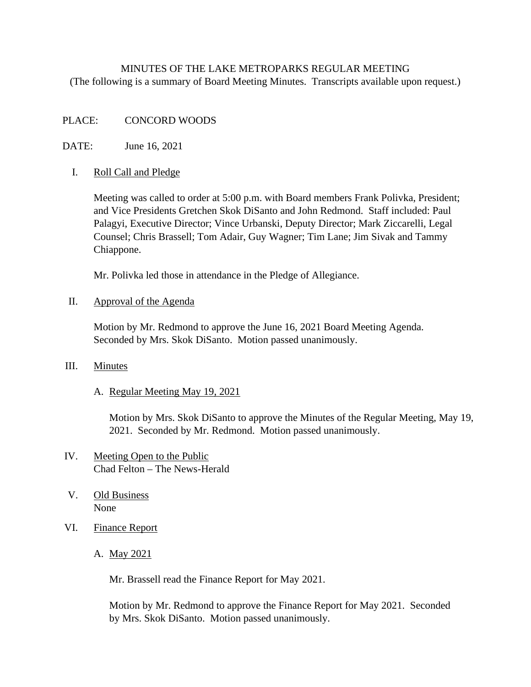# MINUTES OF THE LAKE METROPARKS REGULAR MEETING (The following is a summary of Board Meeting Minutes. Transcripts available upon request.)

## PLACE: CONCORD WOODS

DATE: June 16, 2021

#### I. Roll Call and Pledge

Meeting was called to order at 5:00 p.m. with Board members Frank Polivka, President; and Vice Presidents Gretchen Skok DiSanto and John Redmond. Staff included: Paul Palagyi, Executive Director; Vince Urbanski, Deputy Director; Mark Ziccarelli, Legal Counsel; Chris Brassell; Tom Adair, Guy Wagner; Tim Lane; Jim Sivak and Tammy Chiappone.

Mr. Polivka led those in attendance in the Pledge of Allegiance.

II. Approval of the Agenda

Motion by Mr. Redmond to approve the June 16, 2021 Board Meeting Agenda. Seconded by Mrs. Skok DiSanto. Motion passed unanimously.

#### III. Minutes

#### A. Regular Meeting May 19, 2021

Motion by Mrs. Skok DiSanto to approve the Minutes of the Regular Meeting, May 19, 2021. Seconded by Mr. Redmond. Motion passed unanimously.

# IV. Meeting Open to the Public Chad Felton – The News-Herald

- V. Old Business None
- VI. Finance Report
	- A. May 2021

Mr. Brassell read the Finance Report for May 2021.

 Motion by Mr. Redmond to approve the Finance Report for May 2021. Seconded by Mrs. Skok DiSanto. Motion passed unanimously.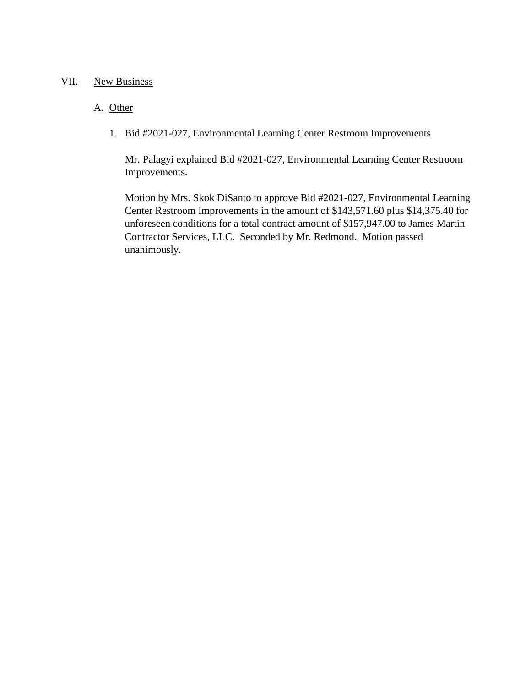## VII. New Business

# A. Other

# 1. Bid #2021-027, Environmental Learning Center Restroom Improvements

Mr. Palagyi explained Bid #2021-027, Environmental Learning Center Restroom Improvements.

Motion by Mrs. Skok DiSanto to approve Bid #2021-027, Environmental Learning Center Restroom Improvements in the amount of \$143,571.60 plus \$14,375.40 for unforeseen conditions for a total contract amount of \$157,947.00 to James Martin Contractor Services, LLC. Seconded by Mr. Redmond. Motion passed unanimously.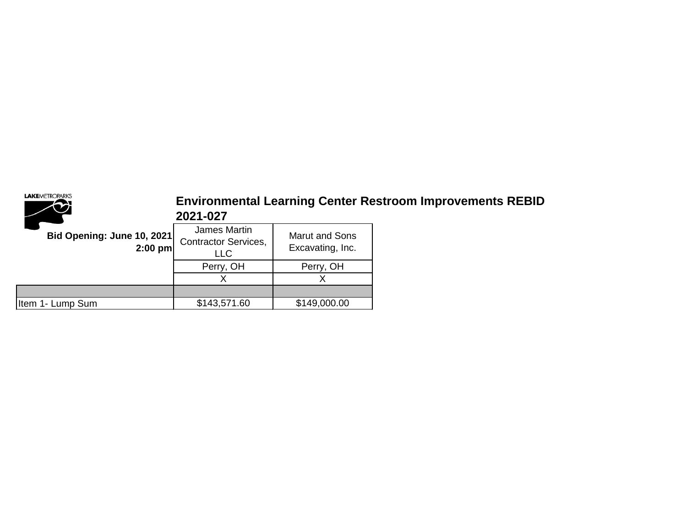

# **Environmental Learning Center Restroom Improvements REBID 2021-027**

| <b>Bid Opening: June 10, 2021</b><br>$2:00$ pm | James Martin<br><b>Contractor Services,</b><br>LLC | <b>Marut and Sons</b><br>Excavating, Inc. |
|------------------------------------------------|----------------------------------------------------|-------------------------------------------|
|                                                | Perry, OH                                          | Perry, OH                                 |
|                                                |                                                    |                                           |
|                                                |                                                    |                                           |
| Item 1- Lump Sum                               | \$143,571.60                                       | \$149,000.00                              |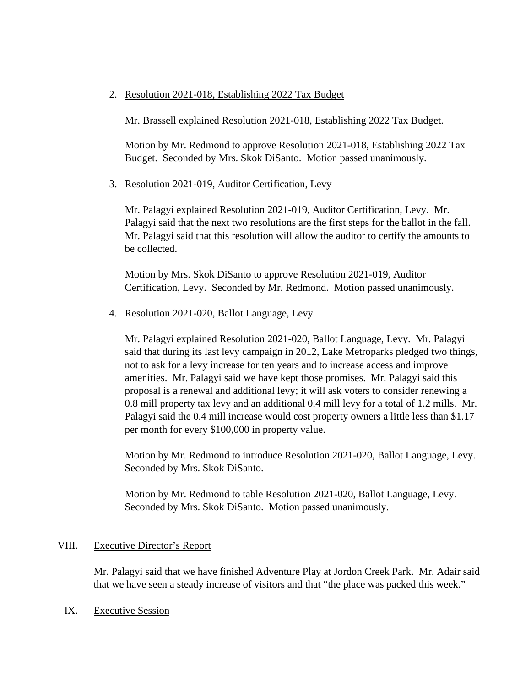## 2. Resolution 2021-018, Establishing 2022 Tax Budget

Mr. Brassell explained Resolution 2021-018, Establishing 2022 Tax Budget.

Motion by Mr. Redmond to approve Resolution 2021-018, Establishing 2022 Tax Budget. Seconded by Mrs. Skok DiSanto. Motion passed unanimously.

3. Resolution 2021-019, Auditor Certification, Levy

Mr. Palagyi explained Resolution 2021-019, Auditor Certification, Levy. Mr. Palagyi said that the next two resolutions are the first steps for the ballot in the fall. Mr. Palagyi said that this resolution will allow the auditor to certify the amounts to be collected.

Motion by Mrs. Skok DiSanto to approve Resolution 2021-019, Auditor Certification, Levy. Seconded by Mr. Redmond. Motion passed unanimously.

4. Resolution 2021-020, Ballot Language, Levy

Mr. Palagyi explained Resolution 2021-020, Ballot Language, Levy. Mr. Palagyi said that during its last levy campaign in 2012, Lake Metroparks pledged two things, not to ask for a levy increase for ten years and to increase access and improve amenities. Mr. Palagyi said we have kept those promises. Mr. Palagyi said this proposal is a renewal and additional levy; it will ask voters to consider renewing a 0.8 mill property tax levy and an additional 0.4 mill levy for a total of 1.2 mills. Mr. Palagyi said the 0.4 mill increase would cost property owners a little less than \$1.17 per month for every \$100,000 in property value.

Motion by Mr. Redmond to introduce Resolution 2021-020, Ballot Language, Levy. Seconded by Mrs. Skok DiSanto.

Motion by Mr. Redmond to table Resolution 2021-020, Ballot Language, Levy. Seconded by Mrs. Skok DiSanto. Motion passed unanimously.

#### VIII. Executive Director's Report

Mr. Palagyi said that we have finished Adventure Play at Jordon Creek Park. Mr. Adair said that we have seen a steady increase of visitors and that "the place was packed this week."

IX. Executive Session